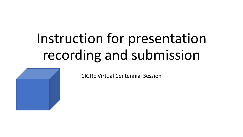# Instruction for presentation recording and submission



CIGRE Virtual Centennial Session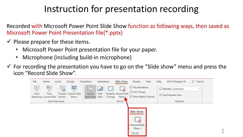Recorded with Microsoft Power Point Slide Show function as following ways, then saved as Microsoft Power Point Presentation file(\*.pptx)

- $\checkmark$  Please prepare for these items.
	- Microsoft Power Point presentation file for your paper.
	- Microphone (including build-in microphone)
- $\checkmark$  For recording the presentation you have to go on the "Slide show" menu and press the icon "Record Slide Show".



1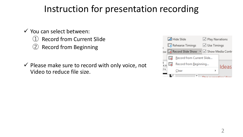- ✓ You can select between:
	- **Record from Current Slide**
	- **Record from Beginning**
- $\checkmark$  Please make sure to record with only voice, not Video to reduce file size.

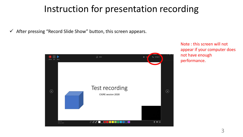$\checkmark$  After pressing "Record Slide Show" button, this screen appears.



Note : this screen will not appear if your computer does not have enough performance.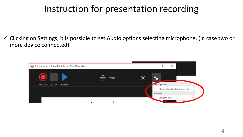$\checkmark$  Clicking on Settings, it is possible to set Audio options selecting microphone. (in case two or more device connected)

| P <sub>8</sub> Presentation1 - PowerPoint Record Slide Show View |                   | $\times$                        |
|------------------------------------------------------------------|-------------------|---------------------------------|
|                                                                  | <b>NOTES</b><br>三 | C.                              |
| <b>RECORD</b><br><b>STOP</b><br>REPLAY                           |                   | <b>Microphone</b>               |
|                                                                  |                   | Microphone (USB Audio Device) ▶ |
|                                                                  |                   | Camera                          |
|                                                                  |                   | Logitech BRIO                   |
|                                                                  |                   |                                 |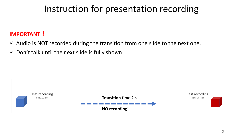#### **IMPORTANT!**

- $\checkmark$  Audio is NOT recorded during the transition from one slide to the next one.
- $\checkmark$  Don't talk until the next slide is fully shown